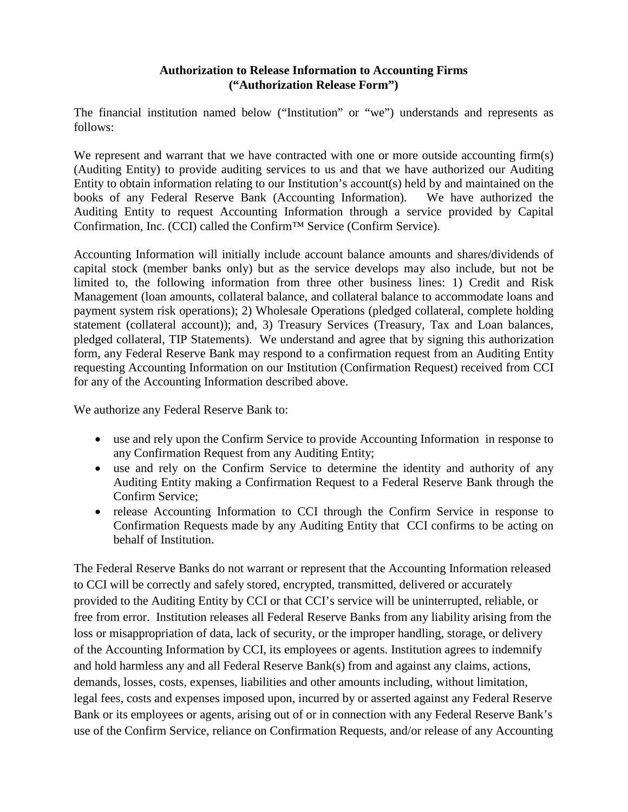## **Authorization to Release Information to Accounting Firms ("Authorization Release Form")**

The financial institution named below ("Institution" or "we") understands and represents as follows:

We represent and warrant that we have contracted with one or more outside accounting firm(s) (Auditing Entity) to provide auditing services to us and that we have authorized our Auditing Entity to obtain information relating to our Institution's account(s) held by and maintained on the books of any Federal Reserve Bank (Accounting Information). We have authorized the Auditing Entity to request Accounting Information through a service provided by Capital Confirmation, Inc. (CCI) called the Confirm™ Service (Confirm Service).

Accounting Information will initially include account balance amounts and shares/dividends of capital stock (member banks only) but as the service develops may also include, but not be limited to, the following information from three other business lines: 1) Credit and Risk Management (loan amounts, collateral balance, and collateral balance to accommodate loans and payment system risk operations); 2) Wholesale Operations (pledged collateral, complete holding statement (collateral account)); and, 3) Treasury Services (Treasury, Tax and Loan balances, pledged collateral, TIP Statements). We understand and agree that by signing this authorization form, any Federal Reserve Bank may respond to a confirmation request from an Auditing Entity requesting Accounting Information on our Institution (Confirmation Request) received from CCI for any of the Accounting Information described above.

We authorize any Federal Reserve Bank to:

- use and rely upon the Confirm Service to provide Accounting Information in response to any Confirmation Request from any Auditing Entity;
- use and rely on the Confirm Service to determine the identity and authority of any Auditing Entity making a Confirmation Request to a Federal Reserve Bank through the Confirm Service;
- release Accounting Information to CCI through the Confirm Service in response to Confirmation Requests made by any Auditing Entity that CCI confirms to be acting on behalf of Institution.

The Federal Reserve Banks do not warrant or represent that the Accounting Information released to CCI will be correctly and safely stored, encrypted, transmitted, delivered or accurately provided to the Auditing Entity by CCI or that CCI's service will be uninterrupted, reliable, or free from error. Institution releases all Federal Reserve Banks from any liability arising from the loss or misappropriation of data, lack of security, or the improper handling, storage, or delivery of the Accounting Information by CCI, its employees or agents. Institution agrees to indemnify and hold harmless any and all Federal Reserve Bank(s) from and against any claims, actions, demands, losses, costs, expenses, liabilities and other amounts including, without limitation, legal fees, costs and expenses imposed upon, incurred by or asserted against any Federal Reserve Bank or its employees or agents, arising out of or in connection with any Federal Reserve Bank's use of the Confirm Service, reliance on Confirmation Requests, and/or release of any Accounting